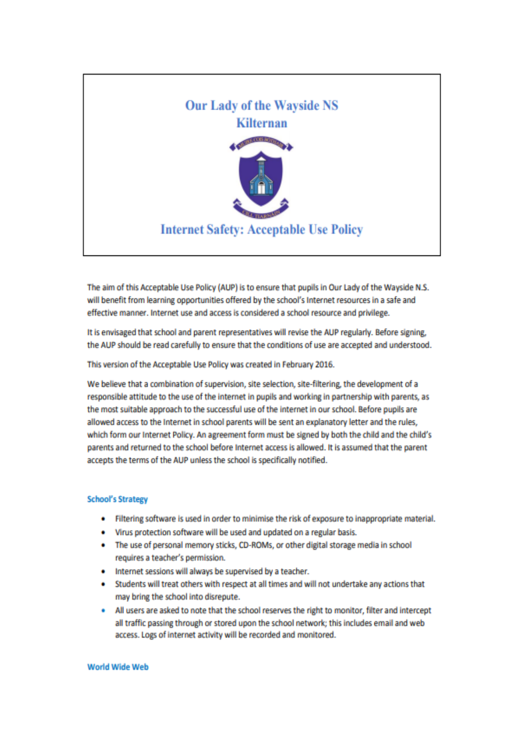

The aim of this Acceptable Use Policy (AUP) is to ensure that pupils in Our Lady of the Wayside N.S. will benefit from learning opportunities offered by the school's Internet resources in a safe and effective manner. Internet use and access is considered a school resource and privilege.

It is envisaged that school and parent representatives will revise the AUP regularly. Before signing, the AUP should be read carefully to ensure that the conditions of use are accepted and understood.

This version of the Acceptable Use Policy was created in February 2016.

We believe that a combination of supervision, site selection, site-filtering, the development of a responsible attitude to the use of the internet in pupils and working in partnership with parents, as the most suitable approach to the successful use of the internet in our school. Before pupils are allowed access to the Internet in school parents will be sent an explanatory letter and the rules. which form our internet Policy. An agreement form must be signed by both the child and the child's parents and returned to the school before Internet access is allowed. It is assumed that the parent accepts the terms of the AUP unless the school is specifically notified.

## **School's Strategy**

- Filtering software is used in order to minimise the risk of exposure to inappropriate material.  $\bullet$
- Virus protection software will be used and updated on a regular basis.
- . The use of personal memory sticks, CD-ROMs, or other digital storage media in school requires a teacher's permission.
- . Internet sessions will always be supervised by a teacher.
- . Students will treat others with respect at all times and will not undertake any actions that may bring the school into disrepute.
- . All users are asked to note that the school reserves the right to monitor, filter and intercept all traffic passing through or stored upon the school network; this includes email and web access. Logs of internet activity will be recorded and monitored.

## **World Wide Web**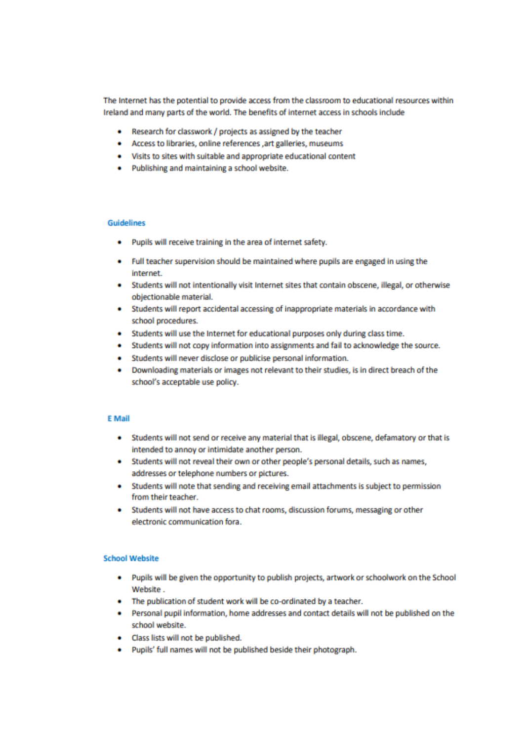The Internet has the potential to provide access from the classroom to educational resources within Ireland and many parts of the world. The benefits of internet access in schools include

- . Research for classwork / projects as assigned by the teacher
- . Access to libraries, online references , art galleries, museums
- . Visits to sites with suitable and appropriate educational content
- . Publishing and maintaining a school website.

#### **Guidelines**

- Pupils will receive training in the area of internet safety.
- Full teacher supervision should be maintained where pupils are engaged in using the internet.
- Students will not intentionally visit Internet sites that contain obscene, illegal, or otherwise objectionable material.
- Students will report accidental accessing of inappropriate materials in accordance with school procedures.
- . Students will use the Internet for educational purposes only during class time.
- Students will not copy information into assignments and fail to acknowledge the source.
- Students will never disclose or publicise personal information.
- Downloading materials or images not relevant to their studies, is in direct breach of the school's acceptable use policy.

#### **E** Mail

- . Students will not send or receive any material that is illegal, obscene, defamatory or that is intended to annoy or intimidate another person.
- . Students will not reveal their own or other people's personal details, such as names, addresses or telephone numbers or pictures.
- Students will note that sending and receiving email attachments is subject to permission from their teacher.
- . Students will not have access to chat rooms, discussion forums, messaging or other electronic communication fora.

#### **School Website**

- . Pupils will be given the opportunity to publish projects, artwork or schoolwork on the School Website.
- . The publication of student work will be co-ordinated by a teacher.
- Personal pupil information, home addresses and contact details will not be published on the school website.
- Class lists will not be published.
- Pupils' full names will not be published beside their photograph.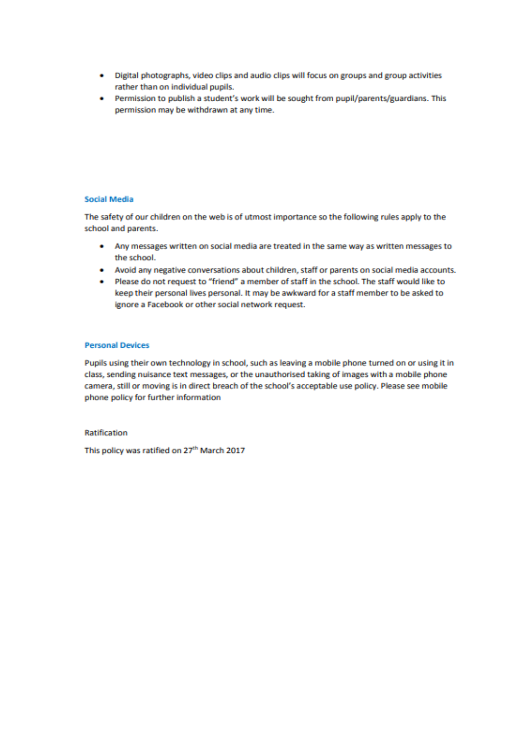- . Digital photographs, video clips and audio clips will focus on groups and group activities rather than on individual pupils.
- . Permission to publish a student's work will be sought from pupil/parents/guardians. This permission may be withdrawn at any time.

### **Social Media**

The safety of our children on the web is of utmost importance so the following rules apply to the school and parents.

- Any messages written on social media are treated in the same way as written messages to the school.
- . Avoid any negative conversations about children, staff or parents on social media accounts.
- . Please do not request to "friend" a member of staff in the school. The staff would like to keep their personal lives personal. It may be awkward for a staff member to be asked to ignore a Facebook or other social network request.

## **Personal Devices**

Pupils using their own technology in school, such as leaving a mobile phone turned on or using it in class, sending nuisance text messages, or the unauthorised taking of images with a mobile phone camera, still or moving is in direct breach of the school's acceptable use policy. Please see mobile phone policy for further information

**Ratification** 

This policy was ratified on 27th March 2017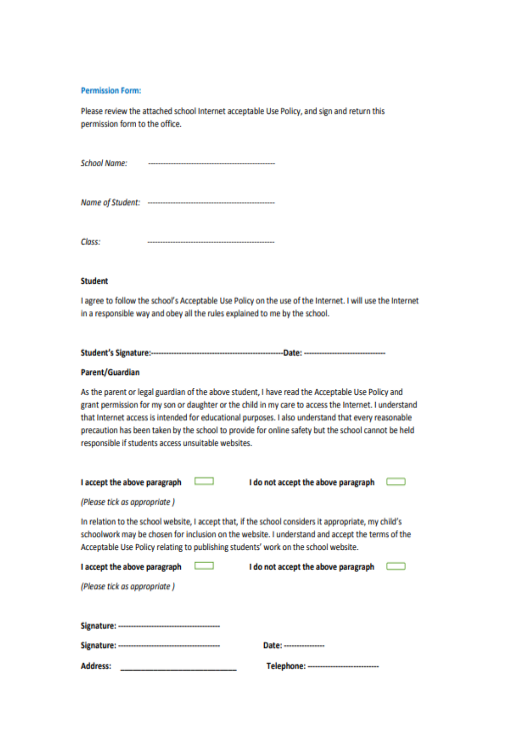#### **Permission Form:**

Please review the attached school Internet acceptable Use Policy, and sign and return this permission form to the office.

**School Name:** 

Class: 

# **Student**

I agree to follow the school's Acceptable Use Policy on the use of the Internet. I will use the Internet in a responsible way and obey all the rules explained to me by the school.

## Parent/Guardian

As the parent or legal guardian of the above student, I have read the Acceptable Use Policy and grant permission for my son or daughter or the child in my care to access the Internet. I understand that Internet access is intended for educational purposes. I also understand that every reasonable precaution has been taken by the school to provide for online safety but the school cannot be held responsible if students access unsuitable websites.

| I accept the above paragraph                                                                                                                                                                                                                                                                  |  | I do not accept the above paragraph     |  |
|-----------------------------------------------------------------------------------------------------------------------------------------------------------------------------------------------------------------------------------------------------------------------------------------------|--|-----------------------------------------|--|
| (Please tick as appropriate)                                                                                                                                                                                                                                                                  |  |                                         |  |
| In relation to the school website, I accept that, if the school considers it appropriate, my child's<br>schoolwork may be chosen for inclusion on the website. I understand and accept the terms of the<br>Acceptable Use Policy relating to publishing students' work on the school website. |  |                                         |  |
| I accept the above paragraph                                                                                                                                                                                                                                                                  |  | I do not accept the above paragraph     |  |
| (Please tick as appropriate)                                                                                                                                                                                                                                                                  |  |                                         |  |
|                                                                                                                                                                                                                                                                                               |  |                                         |  |
|                                                                                                                                                                                                                                                                                               |  |                                         |  |
|                                                                                                                                                                                                                                                                                               |  | Date: -----------------                 |  |
| <b>Address:</b>                                                                                                                                                                                                                                                                               |  | Telephone: ---------------------------- |  |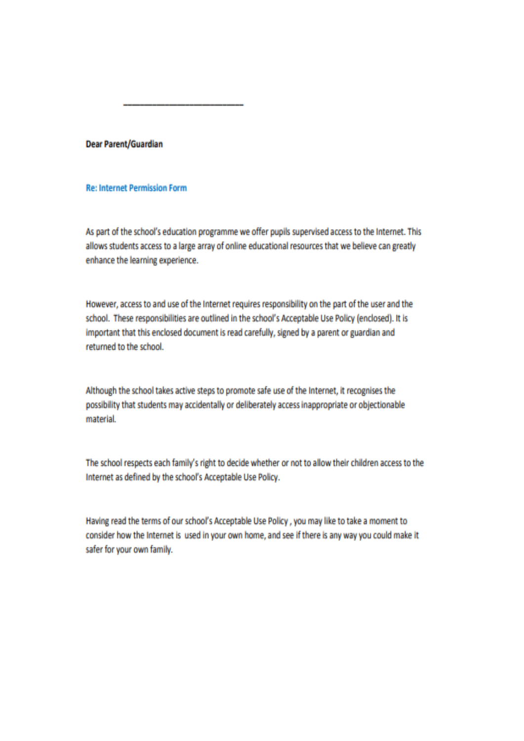Dear Parent/Guardian

# **Re: Internet Permission Form**

As part of the school's education programme we offer pupils supervised access to the Internet. This allows students access to a large array of online educational resources that we believe can greatly enhance the learning experience.

However, access to and use of the Internet requires responsibility on the part of the user and the school. These responsibilities are outlined in the school's Acceptable Use Policy (enclosed). It is important that this enclosed document is read carefully, signed by a parent or guardian and returned to the school.

Although the school takes active steps to promote safe use of the Internet, it recognises the possibility that students may accidentally or deliberately access inappropriate or objectionable material.

The school respects each family's right to decide whether or not to allow their children access to the Internet as defined by the school's Acceptable Use Policy.

Having read the terms of our school's Acceptable Use Policy, you may like to take a moment to consider how the Internet is used in your own home, and see if there is any way you could make it safer for your own family.